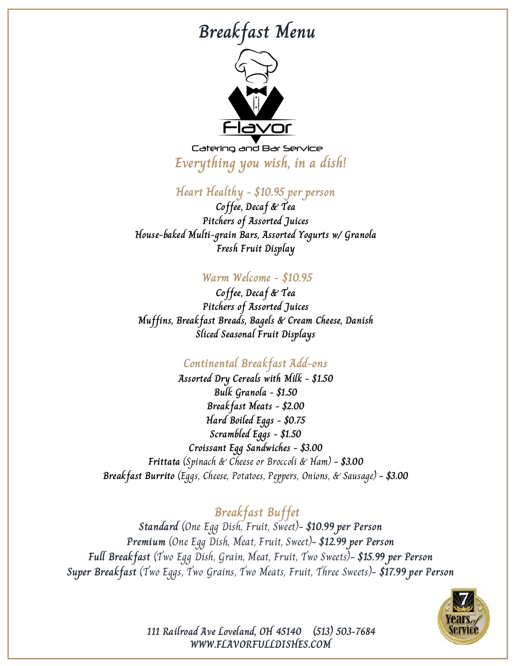### **Breakfast Menu**



Catering and Bar Service **Everything you wish, in a dish!**

**Heart Healthy - \$10.95 per person**

**Coffee, Decaf & Tea Pitchers of Assorted Juices House-baked Multi-grain Bars, Assorted Yogurts w/ Granola Fresh Fruit Display**

#### **Warm Welcome - \$10.95**

**Coffee, Decaf & Tea Pitchers of Assorted Juices Muffins, Breakfast Breads, Bagels & Cream Cheese, Danish Sliced Seasonal Fruit Displays**

#### **Continental Breakfast Add-ons**

**Assorted Dry Cereals with Milk - \$1.50 Bulk Granola - \$1.50 Breakfast Meats - \$2.00 Hard Boiled Eggs - \$0.75 Scrambled Eggs - \$1.50 Croissant Egg Sandwiches - \$3.00 Frittata** (Spinach & Cheese or Broccoli & Ham) **- \$3.00 Breakfast Burrito** (Eggs, Cheese, Potatoes, Peppers, Onions, & Sausage) **- \$3.00**

### **Breakfast Buffet**

**Standard** (One Egg Dish, Fruit, Sweet)**- \$10.99 per Person Premium** (One Egg Dish, Meat, Fruit, Sweet)**- \$12.99 per Person Full Breakfast** (Two Egg Dish, Grain, Meat, Fruit, Two Sweets)**- \$15.99 per Person Super Breakfast** (Two Eggs, Two Grains, Two Meats, Fruit, Three Sweets)**- \$17.99 per Person**



**WWW.FLAVORFULLDISHES.COM 111 Railroad Ave Loveland, OH 45140 (513) 503-7684**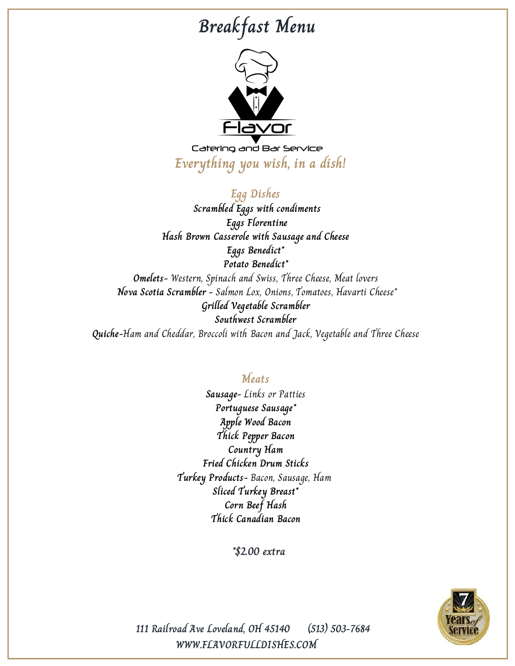# **Breakfast Menu**



Catering and Bar Service **Everything you wish, in a dish!**

**Egg Dishes Scrambled Eggs with condiments Eggs Florentine Hash Brown Casserole with Sausage and Cheese Eggs Benedict\* Potato Benedict\* Omelets-** Western, Spinach and Swiss, Three Cheese, Meat lovers **Nova Scotia Scrambler -** Salmon Lox, Onions, Tomatoes, Havarti Cheese\* **Grilled Vegetable Scrambler Southwest Scrambler Quiche-**Ham and Cheddar, Broccoli with Bacon and Jack, Vegetable and Three Cheese

### **Meats**

**Sausage-** Links or Patties **Portuguese Sausage\* Apple Wood Bacon Thick Pepper Bacon Country Ham Fried Chicken Drum Sticks Turkey Products-** Bacon, Sausage, Ham **Sliced Turkey Breast\* Corn Beef Hash Thick Canadian Bacon**

**\*\$2.00 extra**



**WWW.FLAVORFULLDISHES.COM 111 Railroad Ave Loveland, OH 45140 (513) 503-7684**